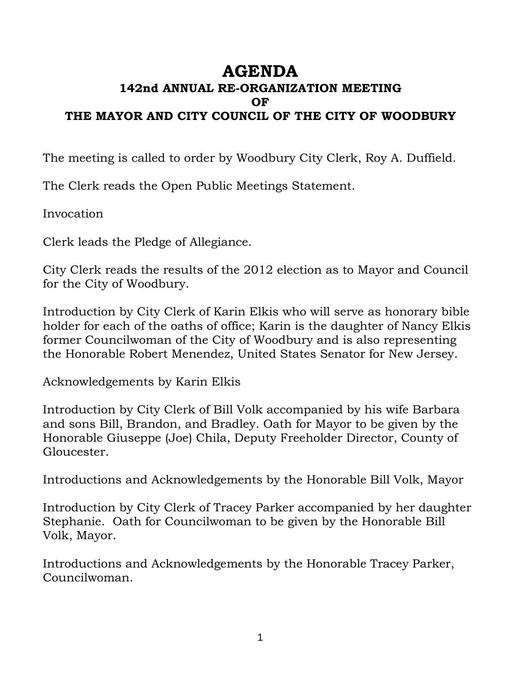## **AGENDA**

## **142nd ANNUAL RE-ORGANIZATION MEETING OF THE MAYOR AND CITY COUNCIL OF THE CITY OF WOODBURY**

The meeting is called to order by Woodbury City Clerk, Roy A. Duffield.

The Clerk reads the Open Public Meetings Statement.

Invocation

Clerk leads the Pledge of Allegiance.

City Clerk reads the results of the 2012 election as to Mayor and Council for the City of Woodbury.

Introduction by City Clerk of Karin Elkis who will serve as honorary bible holder for each of the oaths of office; Karin is the daughter of Nancy Elkis former Councilwoman of the City of Woodbury and is also representing the Honorable Robert Menendez, United States Senator for New Jersey.

Acknowledgements by Karin Elkis

Introduction by City Clerk of Bill Volk accompanied by his wife Barbara and sons Bill, Brandon, and Bradley. Oath for Mayor to be given by the Honorable Giuseppe (Joe) Chila, Deputy Freeholder Director, County of Gloucester.

Introductions and Acknowledgements by the Honorable Bill Volk, Mayor

Introduction by City Clerk of Tracey Parker accompanied by her daughter Stephanie. Oath for Councilwoman to be given by the Honorable Bill Volk, Mayor.

Introductions and Acknowledgements by the Honorable Tracey Parker, Councilwoman.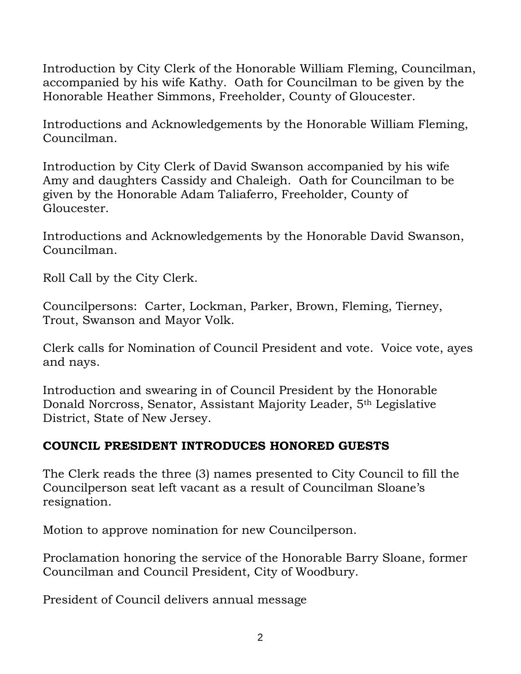Introduction by City Clerk of the Honorable William Fleming, Councilman, accompanied by his wife Kathy. Oath for Councilman to be given by the Honorable Heather Simmons, Freeholder, County of Gloucester.

Introductions and Acknowledgements by the Honorable William Fleming, Councilman.

Introduction by City Clerk of David Swanson accompanied by his wife Amy and daughters Cassidy and Chaleigh. Oath for Councilman to be given by the Honorable Adam Taliaferro, Freeholder, County of Gloucester.

Introductions and Acknowledgements by the Honorable David Swanson, Councilman.

Roll Call by the City Clerk.

Councilpersons: Carter, Lockman, Parker, Brown, Fleming, Tierney, Trout, Swanson and Mayor Volk.

Clerk calls for Nomination of Council President and vote. Voice vote, ayes and nays.

Introduction and swearing in of Council President by the Honorable Donald Norcross, Senator, Assistant Majority Leader, 5th Legislative District, State of New Jersey.

## **COUNCIL PRESIDENT INTRODUCES HONORED GUESTS**

The Clerk reads the three (3) names presented to City Council to fill the Councilperson seat left vacant as a result of Councilman Sloane's resignation.

Motion to approve nomination for new Councilperson.

Proclamation honoring the service of the Honorable Barry Sloane, former Councilman and Council President, City of Woodbury.

President of Council delivers annual message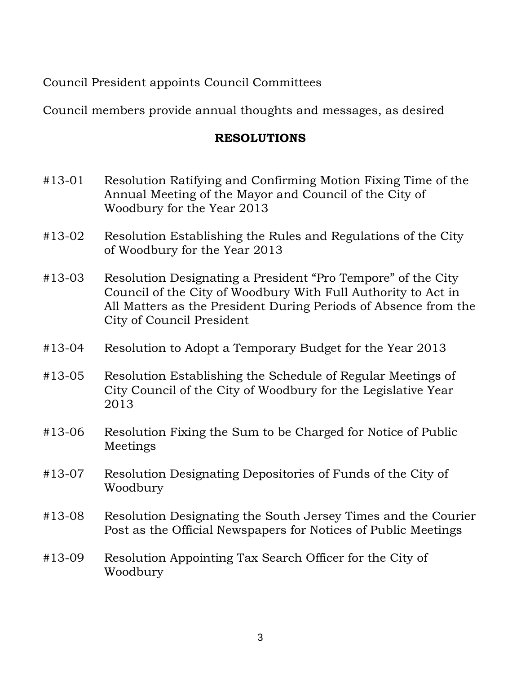Council President appoints Council Committees

Council members provide annual thoughts and messages, as desired

## **RESOLUTIONS**

- #13-01 Resolution Ratifying and Confirming Motion Fixing Time of the Annual Meeting of the Mayor and Council of the City of Woodbury for the Year 2013
- #13-02 Resolution Establishing the Rules and Regulations of the City of Woodbury for the Year 2013
- #13-03 Resolution Designating a President "Pro Tempore" of the City Council of the City of Woodbury With Full Authority to Act in All Matters as the President During Periods of Absence from the City of Council President
- #13-04 Resolution to Adopt a Temporary Budget for the Year 2013
- #13-05 Resolution Establishing the Schedule of Regular Meetings of City Council of the City of Woodbury for the Legislative Year 2013
- #13-06 Resolution Fixing the Sum to be Charged for Notice of Public Meetings
- #13-07 Resolution Designating Depositories of Funds of the City of Woodbury
- #13-08 Resolution Designating the South Jersey Times and the Courier Post as the Official Newspapers for Notices of Public Meetings
- #13-09 Resolution Appointing Tax Search Officer for the City of Woodbury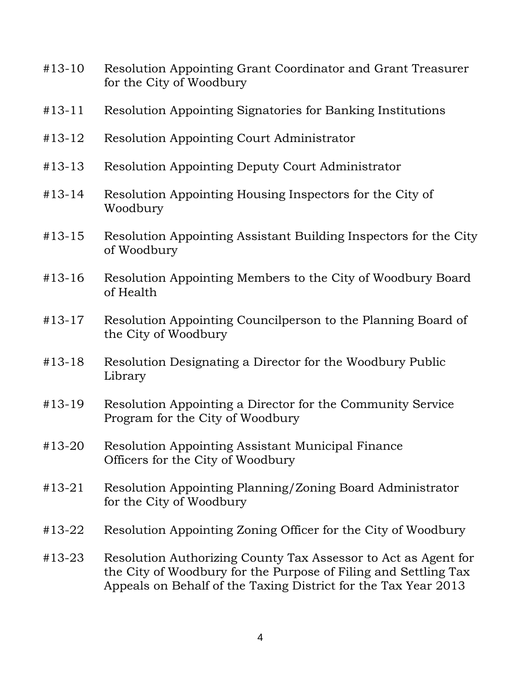- #13-10 Resolution Appointing Grant Coordinator and Grant Treasurer for the City of Woodbury
- #13-11 Resolution Appointing Signatories for Banking Institutions
- #13-12 Resolution Appointing Court Administrator
- #13-13 Resolution Appointing Deputy Court Administrator
- #13-14 Resolution Appointing Housing Inspectors for the City of Woodbury
- #13-15 Resolution Appointing Assistant Building Inspectors for the City of Woodbury
- #13-16 Resolution Appointing Members to the City of Woodbury Board of Health
- #13-17 Resolution Appointing Councilperson to the Planning Board of the City of Woodbury
- #13-18 Resolution Designating a Director for the Woodbury Public Library
- #13-19 Resolution Appointing a Director for the Community Service Program for the City of Woodbury
- #13-20 Resolution Appointing Assistant Municipal Finance Officers for the City of Woodbury
- #13-21 Resolution Appointing Planning/Zoning Board Administrator for the City of Woodbury
- #13-22 Resolution Appointing Zoning Officer for the City of Woodbury
- #13-23 Resolution Authorizing County Tax Assessor to Act as Agent for the City of Woodbury for the Purpose of Filing and Settling Tax Appeals on Behalf of the Taxing District for the Tax Year 2013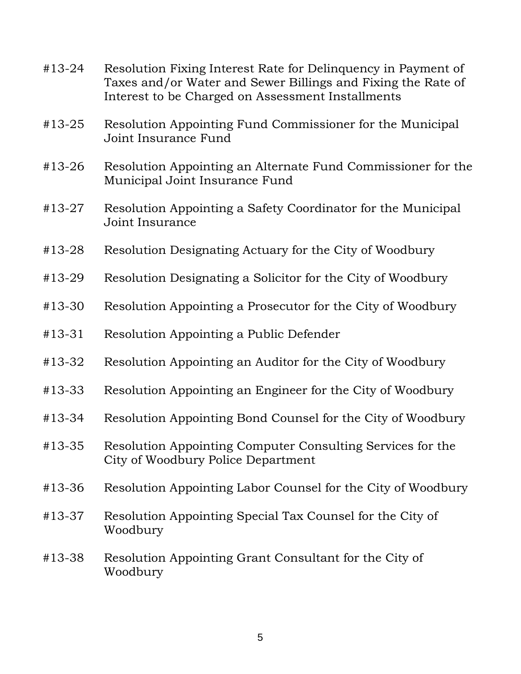| Resolution Fixing Interest Rate for Delinquency in Payment of<br>Taxes and/or Water and Sewer Billings and Fixing the Rate of<br>Interest to be Charged on Assessment Installments |
|------------------------------------------------------------------------------------------------------------------------------------------------------------------------------------|
| Resolution Appointing Fund Commissioner for the Municipal<br>Joint Insurance Fund                                                                                                  |
| Resolution Appointing an Alternate Fund Commissioner for the<br>Municipal Joint Insurance Fund                                                                                     |
| Resolution Appointing a Safety Coordinator for the Municipal<br>Joint Insurance                                                                                                    |
| Resolution Designating Actuary for the City of Woodbury                                                                                                                            |
| Resolution Designating a Solicitor for the City of Woodbury                                                                                                                        |
| Resolution Appointing a Prosecutor for the City of Woodbury                                                                                                                        |
| Resolution Appointing a Public Defender                                                                                                                                            |
| Resolution Appointing an Auditor for the City of Woodbury                                                                                                                          |
| Resolution Appointing an Engineer for the City of Woodbury                                                                                                                         |
| Resolution Appointing Bond Counsel for the City of Woodbury                                                                                                                        |
| Resolution Appointing Computer Consulting Services for the<br>City of Woodbury Police Department                                                                                   |
| Resolution Appointing Labor Counsel for the City of Woodbury                                                                                                                       |
| Resolution Appointing Special Tax Counsel for the City of<br>Woodbury                                                                                                              |
| Resolution Appointing Grant Consultant for the City of<br>Woodbury                                                                                                                 |
|                                                                                                                                                                                    |